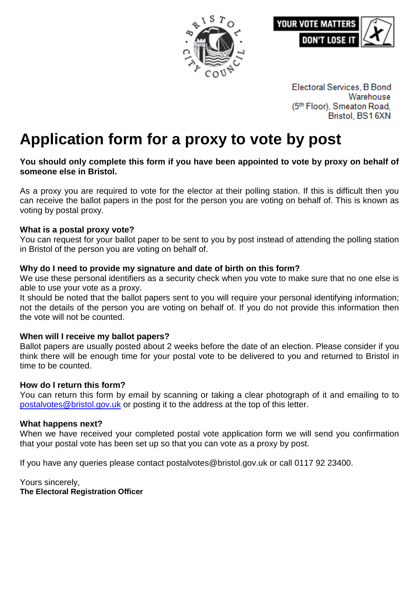



Electoral Services, B Bond Warehouse (5th Floor), Smeaton Road, Bristol, BS16XN

# **Application form for a proxy to vote by post**

#### **You should only complete this form if you have been appointed to vote by proxy on behalf of someone else in Bristol.**

As a proxy you are required to vote for the elector at their polling station. If this is difficult then you can receive the ballot papers in the post for the person you are voting on behalf of. This is known as voting by postal proxy.

## **What is a postal proxy vote?**

You can request for your ballot paper to be sent to you by post instead of attending the polling station in Bristol of the person you are voting on behalf of.

## **Why do I need to provide my signature and date of birth on this form?**

We use these personal identifiers as a security check when you vote to make sure that no one else is able to use your vote as a proxy.

It should be noted that the ballot papers sent to you will require your personal identifying information; not the details of the person you are voting on behalf of. If you do not provide this information then the vote will not be counted.

## **When will I receive my ballot papers?**

Ballot papers are usually posted about 2 weeks before the date of an election. Please consider if you think there will be enough time for your postal vote to be delivered to you and returned to Bristol in time to be counted.

#### **How do I return this form?**

You can return this form by email by scanning or taking a clear photograph of it and emailing to to [postalvotes@bristol.gov.uk](mailto:postalvotes@bristol.gov.uk) or posting it to the address at the top of this letter.

#### **What happens next?**

When we have received your completed postal vote application form we will send you confirmation that your postal vote has been set up so that you can vote as a proxy by post.

If you have any queries please contact postalvotes@bristol.gov.uk or call 0117 92 23400.

Yours sincerely, **The Electoral Registration Officer**